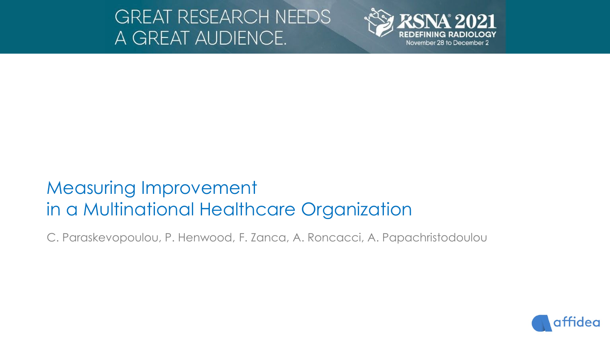# **GREAT RESEARCH NEEDS** A GREAT AUDIENCE.



# Measuring Improvement in a Multinational Healthcare Organization

C. Paraskevopoulou, P. Henwood, F. Zanca, A. Roncacci, A. Papachristodoulou

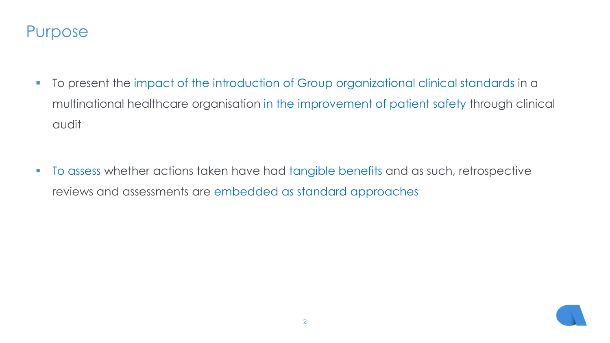### Purpose

- To present the impact of the introduction of Group organizational clinical standards in a multinational healthcare organisation in the improvement of patient safety through clinical audit
- **The assess whether actions taken have had tangible benefits and as such, retrospective** reviews and assessments are embedded as standard approaches

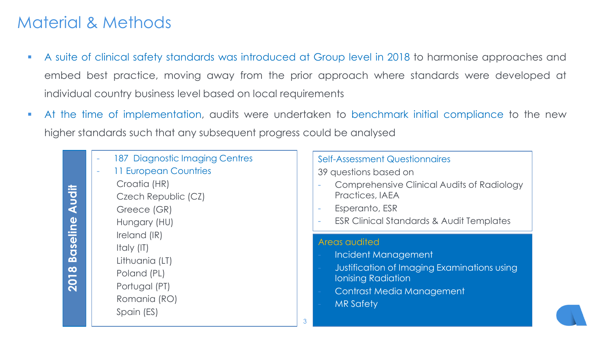# Material & Methods

- A suite of clinical safety standards was introduced at Group level in 2018 to harmonise approaches and embed best practice, moving away from the prior approach where standards were developed at individual country business level based on local requirements
- At the time of implementation, audits were undertaken to benchmark initial compliance to the new higher standards such that any subsequent progress could be analysed

| ï      |
|--------|
|        |
|        |
|        |
| r<br>b |
|        |
| ļ,     |
|        |
|        |

187 Diagnostic Imaging Centres 11 European Countries Croatia (HR) Czech Republic (CZ) Greece (GR) Hungary (HU) Ireland (IR) Italy (IT) Lithuania (LT) Poland (PL) Portugal (PT) Romania (RO) Spain (ES)

#### Self-Assessment Questionnaires 39 questions based on

- Comprehensive Clinical Audits of Radiology Practices, IAEA
- Esperanto, ESR
- ESR Clinical Standards & Audit Templates

#### Areas audited

- Incident Management
- Justification of Imaging Examinations using Ionising Radiation
- Contrast Media Management
- **MR Safety**

3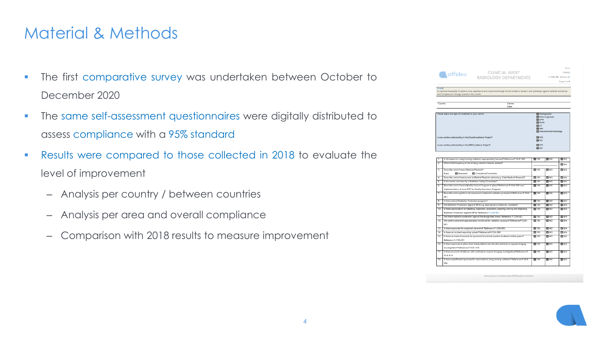# Material & Methods

- **The first comparative survey was undertaken between October to** December 2020
- **The same self-assessment questionnaires were digitally distributed to** assess compliance with a 95% standard
- Results were compared to those collected in 2018 to evaluate the level of improvement
	- Analysis per country / between countries
	- Analysis per area and overall compliance
	- Comparison with 2018 results to measure improvement

|                                                              | <b>CLINICAL AUDIT</b><br><b>A</b> affidea<br><b>RADIOLOGY DEPARTMENTS</b>                                                                                                      |                                     | F-CLN-001-06 Rev: 04                               |                    |  |  |
|--------------------------------------------------------------|--------------------------------------------------------------------------------------------------------------------------------------------------------------------------------|-------------------------------------|----------------------------------------------------|--------------------|--|--|
|                                                              |                                                                                                                                                                                |                                     | Page 1 of 2                                        |                    |  |  |
|                                                              |                                                                                                                                                                                |                                     |                                                    |                    |  |  |
| <b>Scope</b>                                                 |                                                                                                                                                                                |                                     |                                                    |                    |  |  |
|                                                              | To improve the quality of patient care, experience and outcome through formal review of systems and pathways against defined standards                                         |                                     |                                                    |                    |  |  |
|                                                              | and to implement change based on the results.                                                                                                                                  |                                     |                                                    |                    |  |  |
|                                                              |                                                                                                                                                                                |                                     |                                                    |                    |  |  |
|                                                              | Country:<br>Centre:                                                                                                                                                            |                                     |                                                    |                    |  |  |
|                                                              | Date                                                                                                                                                                           |                                     |                                                    |                    |  |  |
|                                                              |                                                                                                                                                                                |                                     |                                                    |                    |  |  |
|                                                              | Please select the type of modalities in your centre:                                                                                                                           | <b>D</b> Radiography<br>Mommography |                                                    |                    |  |  |
|                                                              | $\Box$ CPG                                                                                                                                                                     |                                     |                                                    |                    |  |  |
|                                                              |                                                                                                                                                                                | <b>EL</b> DEXA                      |                                                    |                    |  |  |
|                                                              |                                                                                                                                                                                | CCT                                 | <b>DI MRI</b><br><b>D</b> Interventional Radiology |                    |  |  |
|                                                              |                                                                                                                                                                                |                                     |                                                    |                    |  |  |
|                                                              |                                                                                                                                                                                |                                     |                                                    |                    |  |  |
| Is your centre participating in the Dose Excellence Project? |                                                                                                                                                                                | <b>DIYES</b><br><b>DINO</b>         |                                                    |                    |  |  |
|                                                              |                                                                                                                                                                                | <b>D</b> YES                        |                                                    |                    |  |  |
|                                                              | Is your centre participating in the MR Escellence Project?                                                                                                                     |                                     |                                                    |                    |  |  |
|                                                              |                                                                                                                                                                                | OINO                                |                                                    |                    |  |  |
|                                                              |                                                                                                                                                                                |                                     |                                                    |                    |  |  |
| τ                                                            | Is all equipment using ionising radiation appropriately licensed? Reference P-CLN-001.                                                                                         | $\blacksquare$ TES                  | $\blacksquare$ NO                                  | <b>DINA</b>        |  |  |
| $\overline{z}$                                               | What is the frequency of the ionising radiation license renewal?                                                                                                               |                                     |                                                    | <b>DINA</b>        |  |  |
|                                                              |                                                                                                                                                                                |                                     |                                                    |                    |  |  |
| з.                                                           | Does the centre have a Medical Physicist?                                                                                                                                      | $\blacksquare$ 113                  | $\Box$ $\kappa$                                    | ONA                |  |  |
|                                                              | Consultant/Contractor<br>E yes<br>Personnel                                                                                                                                    |                                     |                                                    |                    |  |  |
| z                                                            | Does the centre have access to Medical Physicist advice (e.g. Chief Medical Physicist)?                                                                                        | צוים                                | $\blacksquare$ NO                                  | <b>OINA</b>        |  |  |
| s.                                                           | Is the centre overseen by a Radiation Safety Committee?                                                                                                                        | צד ם                                | $\blacksquare$ NO                                  | OWA                |  |  |
| ۵.                                                           | Does the centre have a Quality Contral Program in place? Reference P-CLN-001 and                                                                                               | צוי ם                               | $\blacksquare$ NO                                  | ONA                |  |  |
|                                                              | implementation of local SOP for Quality Assurance Program.                                                                                                                     |                                     |                                                    |                    |  |  |
| z.                                                           | Does the centre perform risk assessment related to radiation protection? Reference P-CLN-<br>001.                                                                              | צור גם                              | $\blacksquare$ NO                                  | <b>DINA</b>        |  |  |
| â.                                                           | la there a local Radiation Protection program?                                                                                                                                 | $\blacksquare$ $\blacksquare$       | $\blacksquare$ NO                                  | OWA                |  |  |
| ᡒ                                                            |                                                                                                                                                                                | $\blacksquare$ $\blacksquare$       | OWD                                                |                    |  |  |
| 10.                                                          | Are Raciation Protection Apparel (RPA) e.g. lead aprons, collars etc. available?<br>Is there a procedure for labeling, inspection, evaluation, cleaning, staring and disposing | צו ם                                | $\blacksquare$ NO                                  | <b>DINA</b><br>OWA |  |  |
|                                                              | Radiation Protection Apparel (RPA)? Reference P-CLN-001.                                                                                                                       |                                     |                                                    |                    |  |  |
| 11.                                                          | Are there radiation protection signs in the designated areas? Reference P-CLN-001.                                                                                             | $\blacksquare$ YES                  | $\blacksquare$ NO                                  | <b>DINA</b>        |  |  |
| 12.                                                          | Are centre personnel appropriately monitored for radiation exposure? Reference P-CLN-                                                                                          | $\blacksquare$ yes                  | $\Box$ NO                                          | <b>DINA</b>        |  |  |
|                                                              | 001.                                                                                                                                                                           |                                     |                                                    |                    |  |  |
| 13.                                                          | Is there a process for pregnant personnel? Reference P-CLN-003.                                                                                                                | $\blacksquare$ YES                  | $\blacksquare$ NO                                  | <b>OINA</b>        |  |  |
| 14.                                                          | Is there an incident reporting system? Reference P-CLN-009.                                                                                                                    | $\blacksquare$ $\blacksquare$       | OND                                                | <b>OINA</b>        |  |  |
| $\overline{15}$                                              | Is there an internal process for personnel to pravide positive feedback to their peers?                                                                                        | $\blacksquare$ YES                  | OND                                                | ONA                |  |  |
|                                                              | Reference P-CLN-021                                                                                                                                                            |                                     |                                                    |                    |  |  |
|                                                              | Is there a process in place that clearly defines who has the authority to request imaging                                                                                      | $\blacksquare$ 113                  | $\blacksquare$ NO                                  | <b>OINA</b>        |  |  |
| 16.                                                          | investigations? Reference P-CLN-014.                                                                                                                                           |                                     |                                                    |                    |  |  |
|                                                              | Is there a record of referrers with authority to request imaging investigations? Reference P-                                                                                  | צד ם                                | $\blacksquare$ NO                                  | <b>DINA</b>        |  |  |
| 17.                                                          |                                                                                                                                                                                |                                     |                                                    |                    |  |  |
|                                                              | CLN-014.                                                                                                                                                                       |                                     |                                                    |                    |  |  |
| 18.                                                          | Is there a justification process for examinations using lonising radiation? Reference P-CLN-                                                                                   | $\blacksquare$ YES                  | $\Box$ NO                                          | <b>DINA</b>        |  |  |

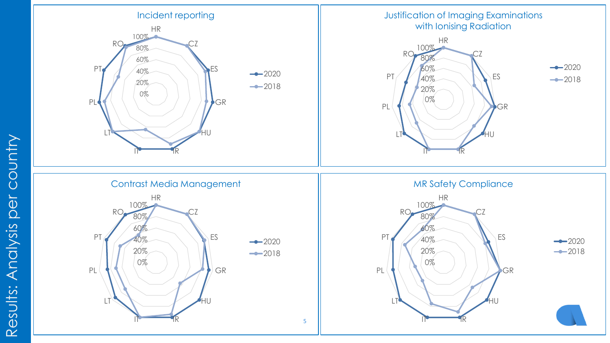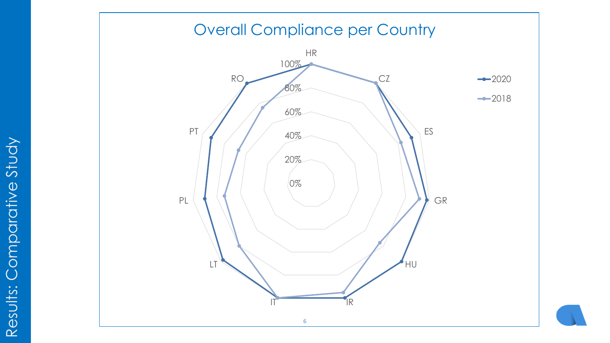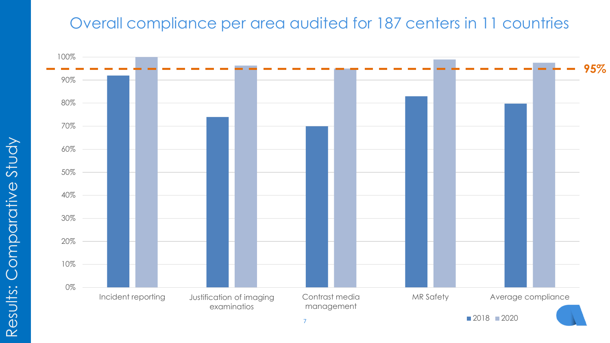## Overall compliance per area audited for 187 centers in 11 countries